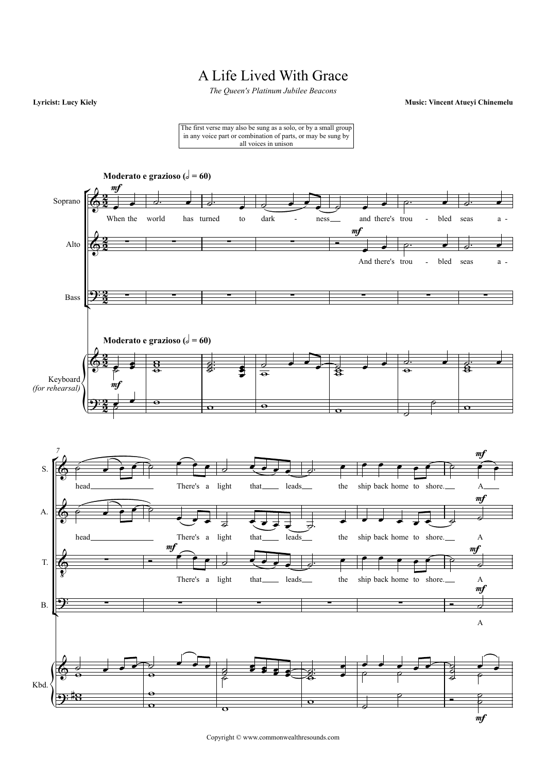## A Life Lived With Grace

*The Queen's Platinum Jubilee Beacons*

**Lyricist: Lucy Kiely Music: Vincent Atueyi Chinemelu**

The first verse may also be sung as a solo, or by a small group in any voice part or combination of parts, or may be sung by all voices in unison



Copyright © www.commonwealthresounds.com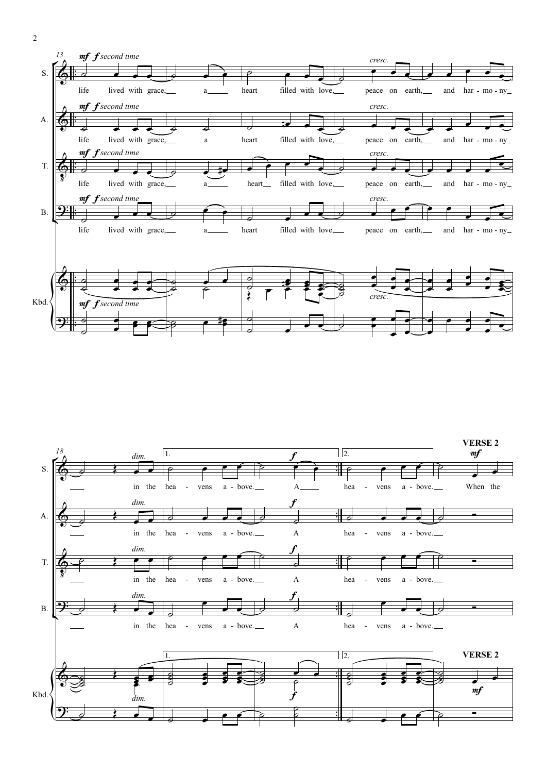



2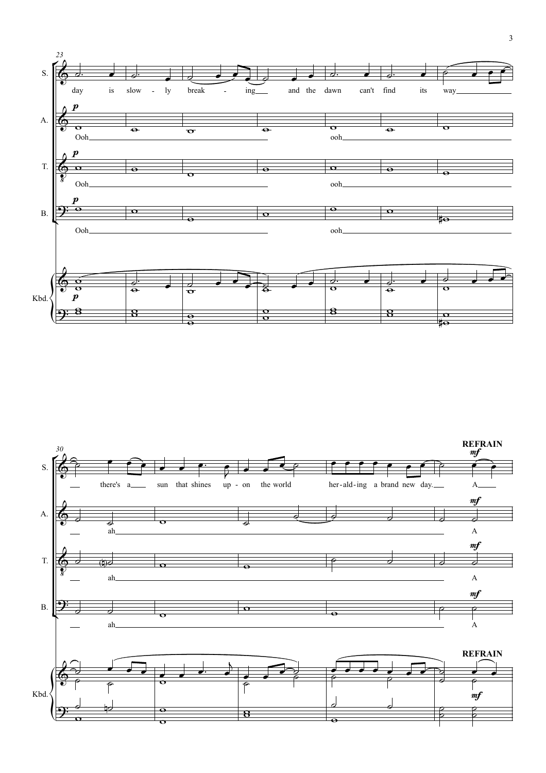

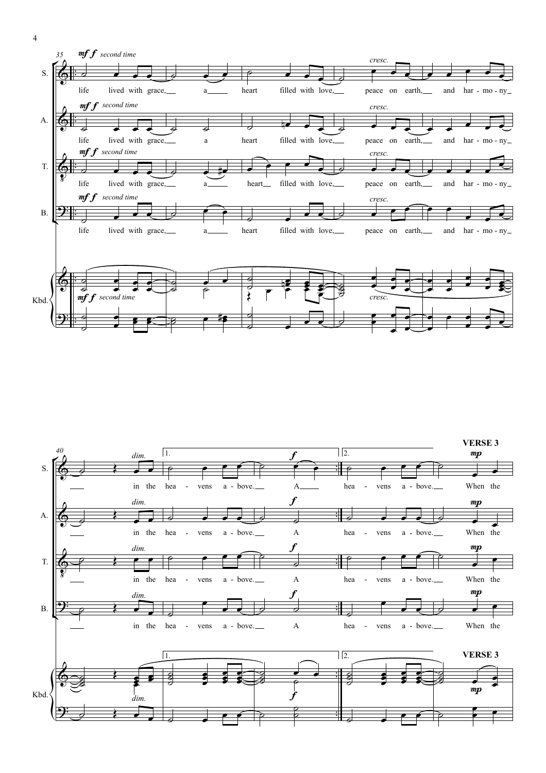



4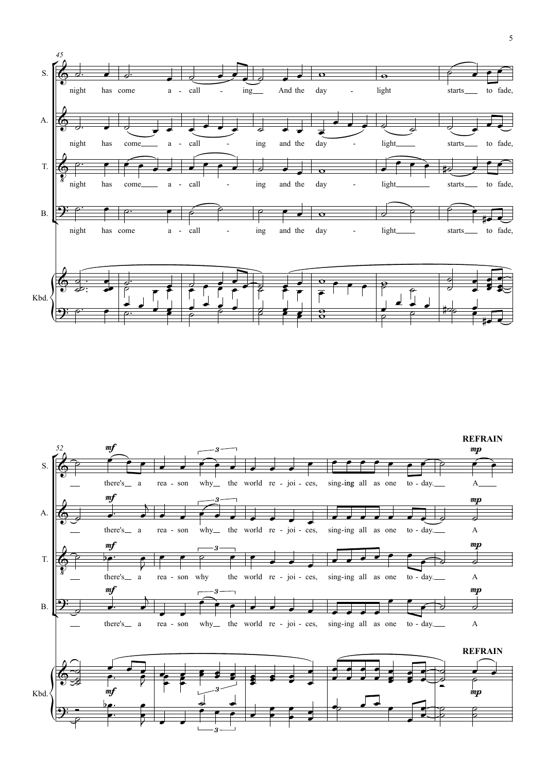

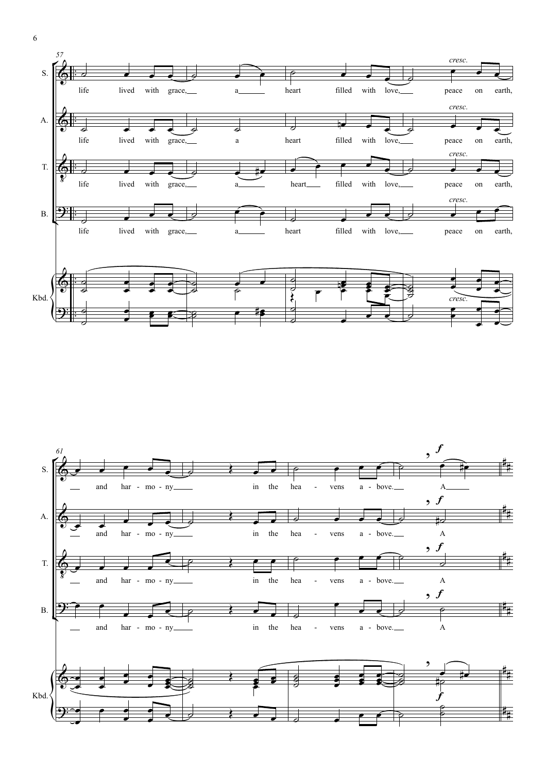



6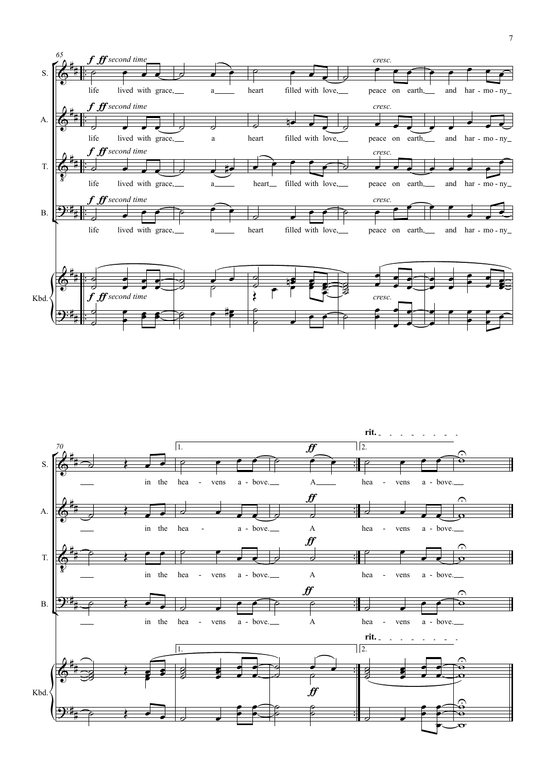

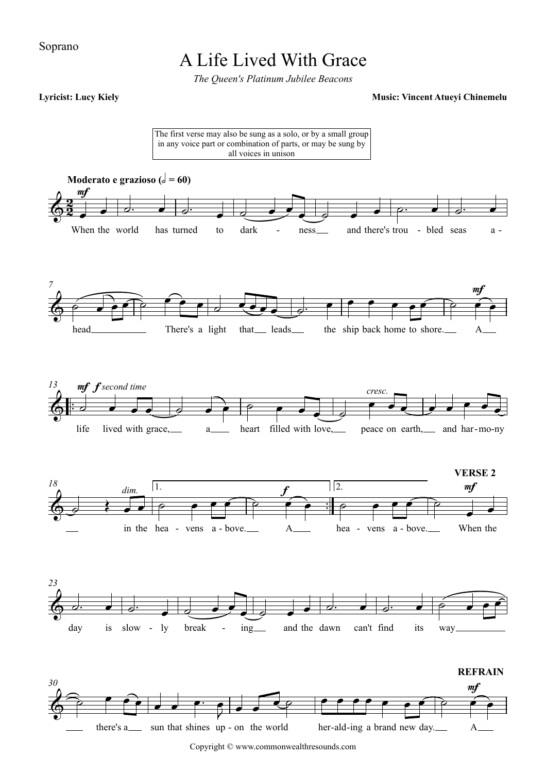### Soprano

## A Life Lived With Grace

*The Queen's Platinum Jubilee Beacons*



Copyright © www.commonwealthresounds.com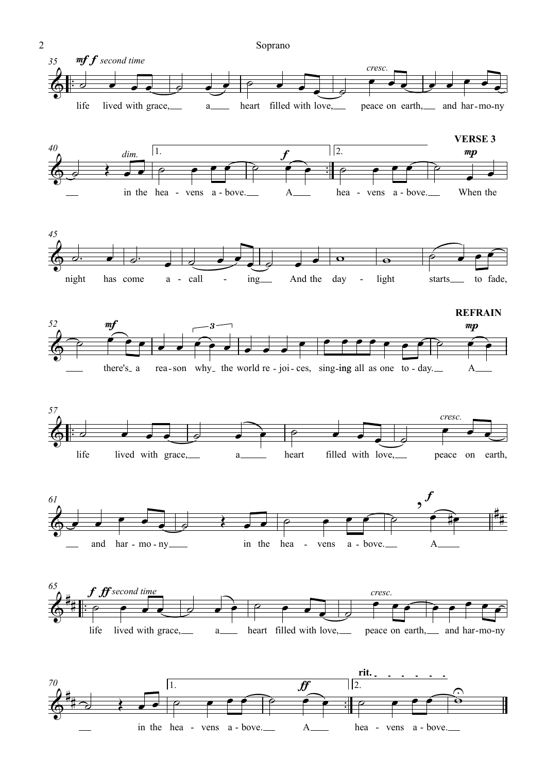

in the hea - vens a - bove. A hea - vens a - bove.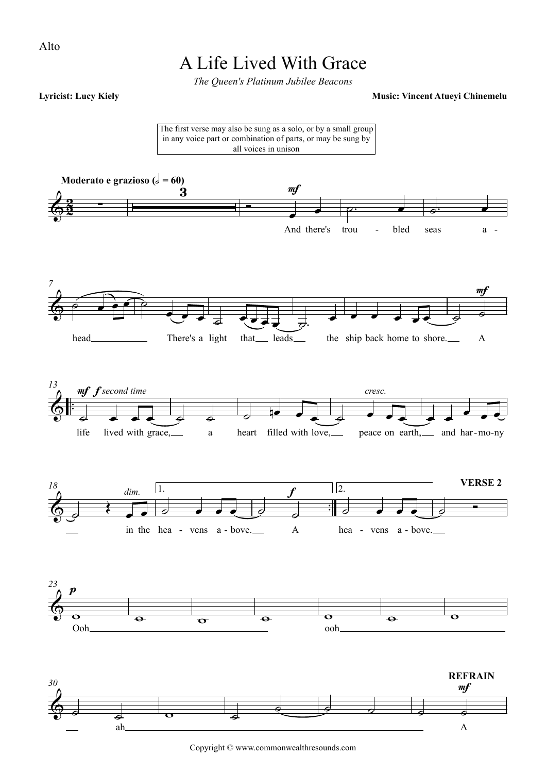### Alto

## A Life Lived With Grace

*The Queen's Platinum Jubilee Beacons*

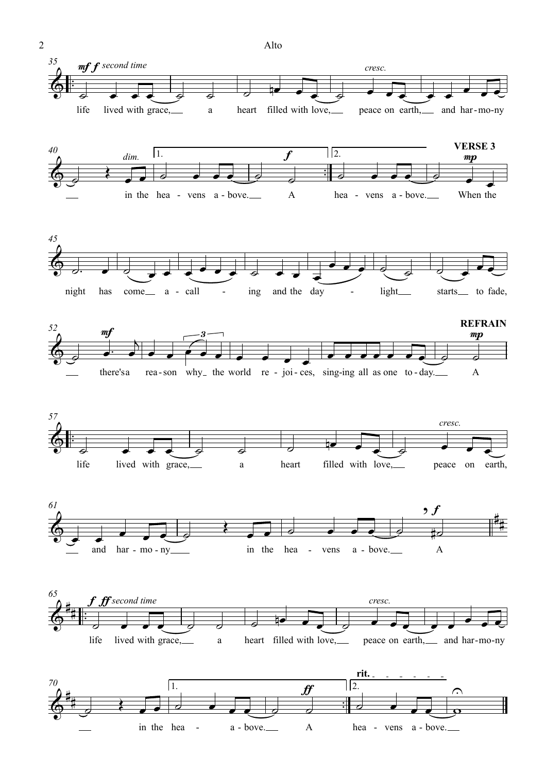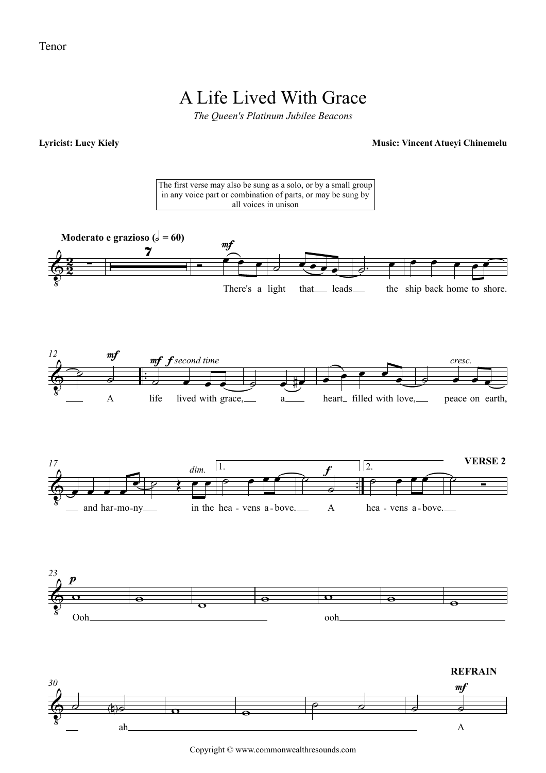### Tenor

## A Life Lived With Grace

*The Queen's Platinum Jubilee Beacons*

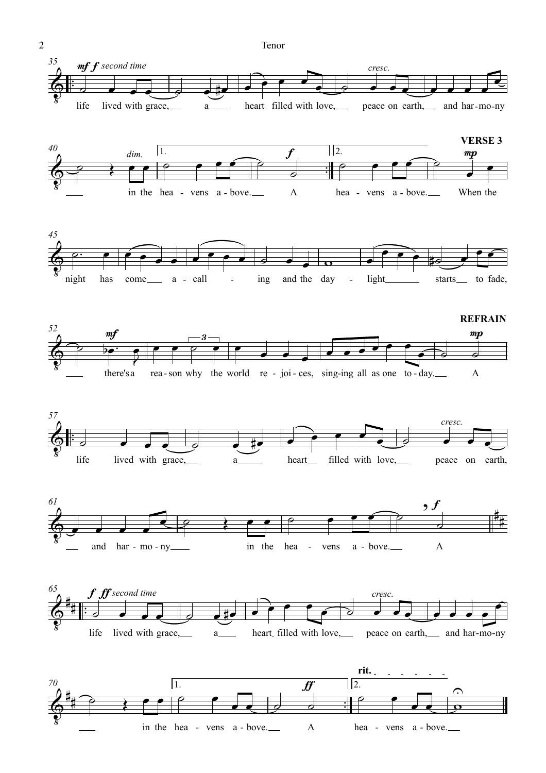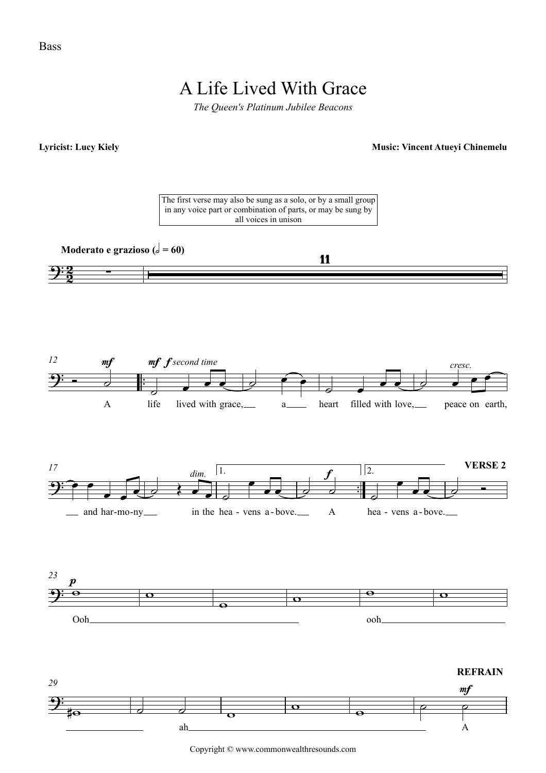# A Life Lived With Grace

*The Queen's Platinum Jubilee Beacons*



Copyright © www.commonwealthresounds.com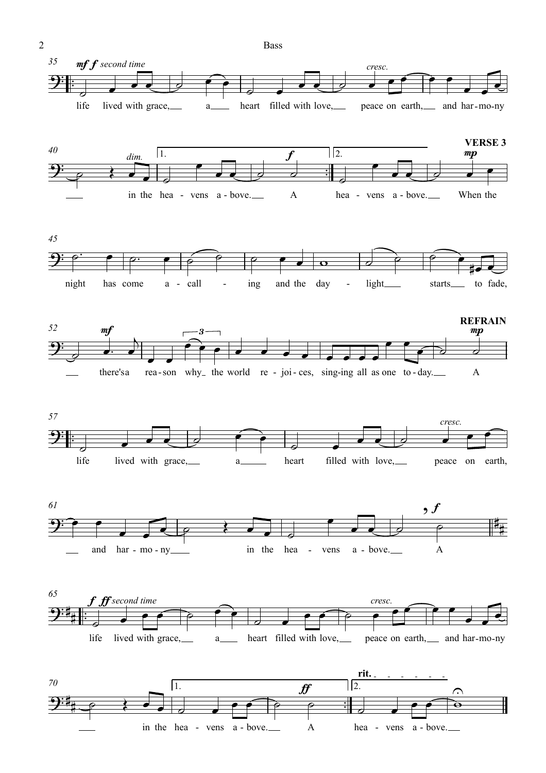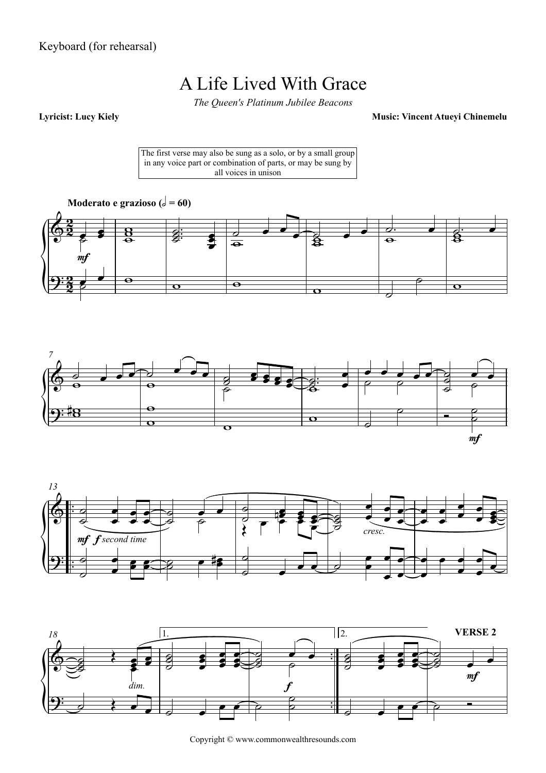Keyboard (for rehearsal)

## A Life Lived With Grace

*The Queen's Platinum Jubilee Beacons*

**Lyricist: Lucy Kiely Music: Vincent Atueyi Chinemelu**

The first verse may also be sung as a solo, or by a small group in any voice part or combination of parts, or may be sung by all voices in unison









Copyright © www.commonwealthresounds.com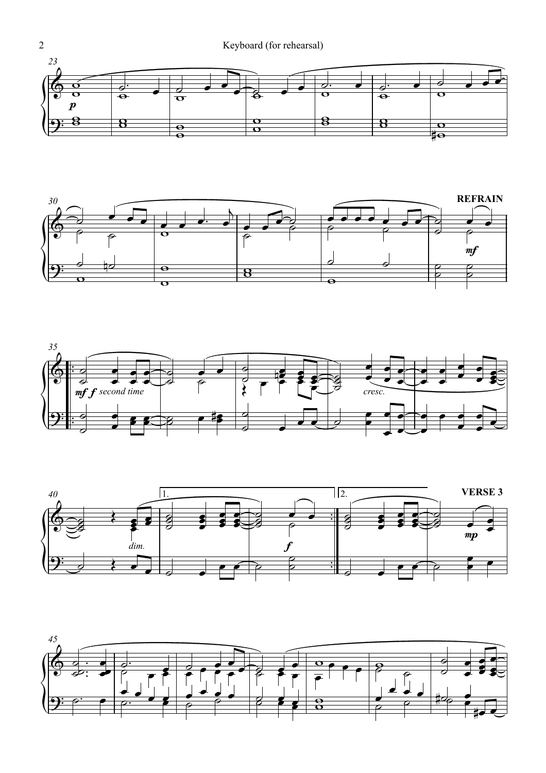